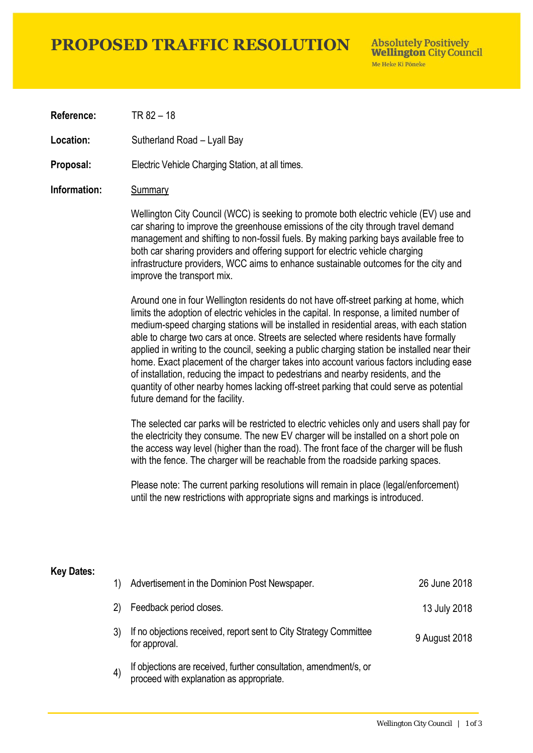# **PROPOSED TRAFFIC RESOLUTION**

**Absolutely Positively Wellington City Council** Me Heke Ki Pôneke

**Reference:** TR 82 – 18

**Location:** Sutherland Road – Lyall Bay

**Proposal:** Electric Vehicle Charging Station, at all times.

### **Information:** Summary

Wellington City Council (WCC) is seeking to promote both electric vehicle (EV) use and car sharing to improve the greenhouse emissions of the city through travel demand management and shifting to non-fossil fuels. By making parking bays available free to both car sharing providers and offering support for electric vehicle charging infrastructure providers, WCC aims to enhance sustainable outcomes for the city and improve the transport mix.

Around one in four Wellington residents do not have off-street parking at home, which limits the adoption of electric vehicles in the capital. In response, a limited number of medium-speed charging stations will be installed in residential areas, with each station able to charge two cars at once. Streets are selected where residents have formally applied in writing to the council, seeking a public charging station be installed near their home. Exact placement of the charger takes into account various factors including ease of installation, reducing the impact to pedestrians and nearby residents, and the quantity of other nearby homes lacking off-street parking that could serve as potential future demand for the facility.

The selected car parks will be restricted to electric vehicles only and users shall pay for the electricity they consume. The new EV charger will be installed on a short pole on the access way level (higher than the road). The front face of the charger will be flush with the fence. The charger will be reachable from the roadside parking spaces.

Please note: The current parking resolutions will remain in place (legal/enforcement) until the new restrictions with appropriate signs and markings is introduced.

#### **Key Dates:**

| 1) | Advertisement in the Dominion Post Newspaper.                                                                 | 26 June 2018  |
|----|---------------------------------------------------------------------------------------------------------------|---------------|
| 2) | Feedback period closes.                                                                                       | 13 July 2018  |
|    | If no objections received, report sent to City Strategy Committee<br>for approval.                            | 9 August 2018 |
| 4) | If objections are received, further consultation, amendment/s, or<br>proceed with explanation as appropriate. |               |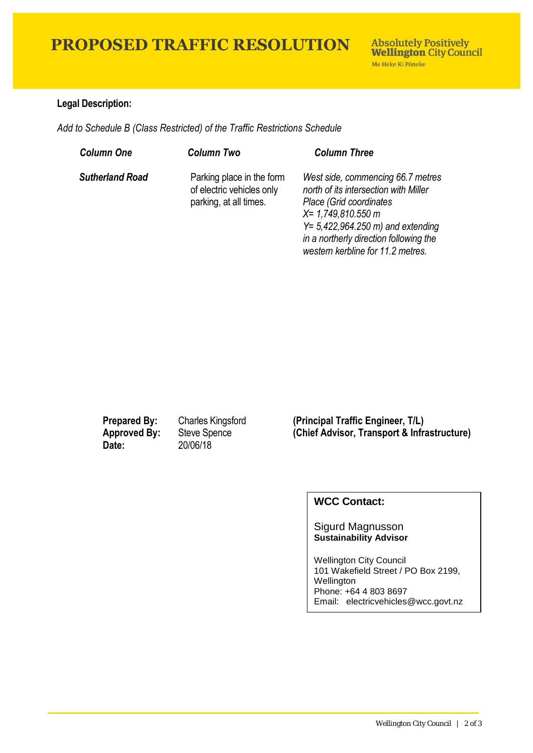# **PROPOSED TRAFFIC RESOLUTION**

## **Legal Description:**

*Add to Schedule B (Class Restricted) of the Traffic Restrictions Schedule* 

| <b>Column One</b>      | <b>Column Two</b>                                                                | <b>Column Three</b>                                                                                                                                                                                                                                   |
|------------------------|----------------------------------------------------------------------------------|-------------------------------------------------------------------------------------------------------------------------------------------------------------------------------------------------------------------------------------------------------|
| <b>Sutherland Road</b> | Parking place in the form<br>of electric vehicles only<br>parking, at all times. | West side, commencing 66.7 metres<br>north of its intersection with Miller<br>Place (Grid coordinates<br>$X = 1,749,810.550$ m<br>$Y = 5,422,964.250$ m) and extending<br>in a northerly direction following the<br>western kerbline for 11.2 metres. |

**Date:** 20/06/18

**Prepared By:** Charles Kingsford **(Principal Traffic Engineer, T/L) Approved By:** Steve Spence **(Chief Advisor, Transport & Infrastructure)**

## **WCC Contact:**

#### Sigurd Magnusson **Sustainability Advisor**

Wellington City Council 101 Wakefield Street / PO Box 2199, Wellington Phone: +64 4 803 8697 Email: electricvehicles@wcc.govt.nz